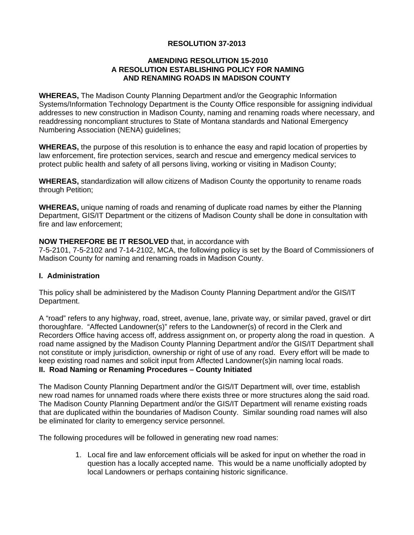## **RESOLUTION 37-2013**

### **AMENDING RESOLUTION 15-2010 A RESOLUTION ESTABLISHING POLICY FOR NAMING AND RENAMING ROADS IN MADISON COUNTY**

**WHEREAS,** The Madison County Planning Department and/or the Geographic Information Systems/Information Technology Department is the County Office responsible for assigning individual addresses to new construction in Madison County, naming and renaming roads where necessary, and readdressing noncompliant structures to State of Montana standards and National Emergency Numbering Association (NENA) guidelines;

**WHEREAS,** the purpose of this resolution is to enhance the easy and rapid location of properties by law enforcement, fire protection services, search and rescue and emergency medical services to protect public health and safety of all persons living, working or visiting in Madison County;

**WHEREAS,** standardization will allow citizens of Madison County the opportunity to rename roads through Petition;

**WHEREAS,** unique naming of roads and renaming of duplicate road names by either the Planning Department, GIS/IT Department or the citizens of Madison County shall be done in consultation with fire and law enforcement;

### **NOW THEREFORE BE IT RESOLVED** that, in accordance with

7-5-2101, 7-5-2102 and 7-14-2102, MCA, the following policy is set by the Board of Commissioners of Madison County for naming and renaming roads in Madison County.

#### **I. Administration**

This policy shall be administered by the Madison County Planning Department and/or the GIS/IT Department.

A "road" refers to any highway, road, street, avenue, lane, private way, or similar paved, gravel or dirt thoroughfare. "Affected Landowner(s)" refers to the Landowner(s) of record in the Clerk and Recorders Office having access off, address assignment on, or property along the road in question. A road name assigned by the Madison County Planning Department and/or the GIS/IT Department shall not constitute or imply jurisdiction, ownership or right of use of any road. Every effort will be made to keep existing road names and solicit input from Affected Landowner(s)in naming local roads.

### **II. Road Naming or Renaming Procedures – County Initiated**

The Madison County Planning Department and/or the GIS/IT Department will, over time, establish new road names for unnamed roads where there exists three or more structures along the said road. The Madison County Planning Department and/or the GIS/IT Department will rename existing roads that are duplicated within the boundaries of Madison County. Similar sounding road names will also be eliminated for clarity to emergency service personnel.

The following procedures will be followed in generating new road names:

1. Local fire and law enforcement officials will be asked for input on whether the road in question has a locally accepted name. This would be a name unofficially adopted by local Landowners or perhaps containing historic significance.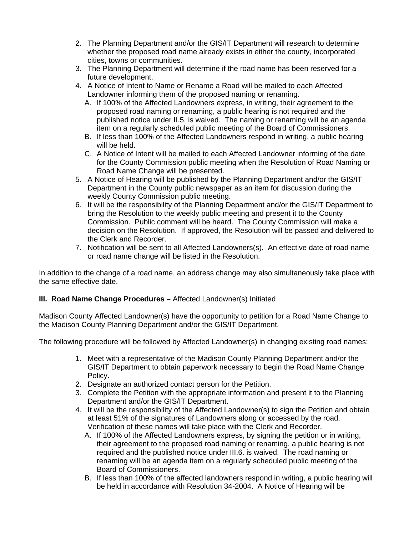- 2. The Planning Department and/or the GIS/IT Department will research to determine whether the proposed road name already exists in either the county, incorporated cities, towns or communities.
- 3. The Planning Department will determine if the road name has been reserved for a future development.
- 4. A Notice of Intent to Name or Rename a Road will be mailed to each Affected Landowner informing them of the proposed naming or renaming.
	- A. If 100% of the Affected Landowners express, in writing, their agreement to the proposed road naming or renaming, a public hearing is not required and the published notice under II.5. is waived. The naming or renaming will be an agenda item on a regularly scheduled public meeting of the Board of Commissioners.
	- B. If less than 100% of the Affected Landowners respond in writing, a public hearing will be held.
	- C. A Notice of Intent will be mailed to each Affected Landowner informing of the date for the County Commission public meeting when the Resolution of Road Naming or Road Name Change will be presented.
- 5. A Notice of Hearing will be published by the Planning Department and/or the GIS/IT Department in the County public newspaper as an item for discussion during the weekly County Commission public meeting.
- 6. It will be the responsibility of the Planning Department and/or the GIS/IT Department to bring the Resolution to the weekly public meeting and present it to the County Commission. Public comment will be heard. The County Commission will make a decision on the Resolution. If approved, the Resolution will be passed and delivered to the Clerk and Recorder.
- 7. Notification will be sent to all Affected Landowners(s). An effective date of road name or road name change will be listed in the Resolution.

In addition to the change of a road name, an address change may also simultaneously take place with the same effective date.

### **III. Road Name Change Procedures –** Affected Landowner(s) Initiated

Madison County Affected Landowner(s) have the opportunity to petition for a Road Name Change to the Madison County Planning Department and/or the GIS/IT Department.

The following procedure will be followed by Affected Landowner(s) in changing existing road names:

- 1. Meet with a representative of the Madison County Planning Department and/or the GIS/IT Department to obtain paperwork necessary to begin the Road Name Change Policy.
- 2. Designate an authorized contact person for the Petition.
- 3. Complete the Petition with the appropriate information and present it to the Planning Department and/or the GIS/IT Department.
- 4. It will be the responsibility of the Affected Landowner(s) to sign the Petition and obtain at least 51% of the signatures of Landowners along or accessed by the road. Verification of these names will take place with the Clerk and Recorder.
	- A. If 100% of the Affected Landowners express, by signing the petition or in writing, their agreement to the proposed road naming or renaming, a public hearing is not required and the published notice under III.6. is waived. The road naming or renaming will be an agenda item on a regularly scheduled public meeting of the Board of Commissioners.
	- B. If less than 100% of the affected landowners respond in writing, a public hearing will be held in accordance with Resolution 34-2004. A Notice of Hearing will be